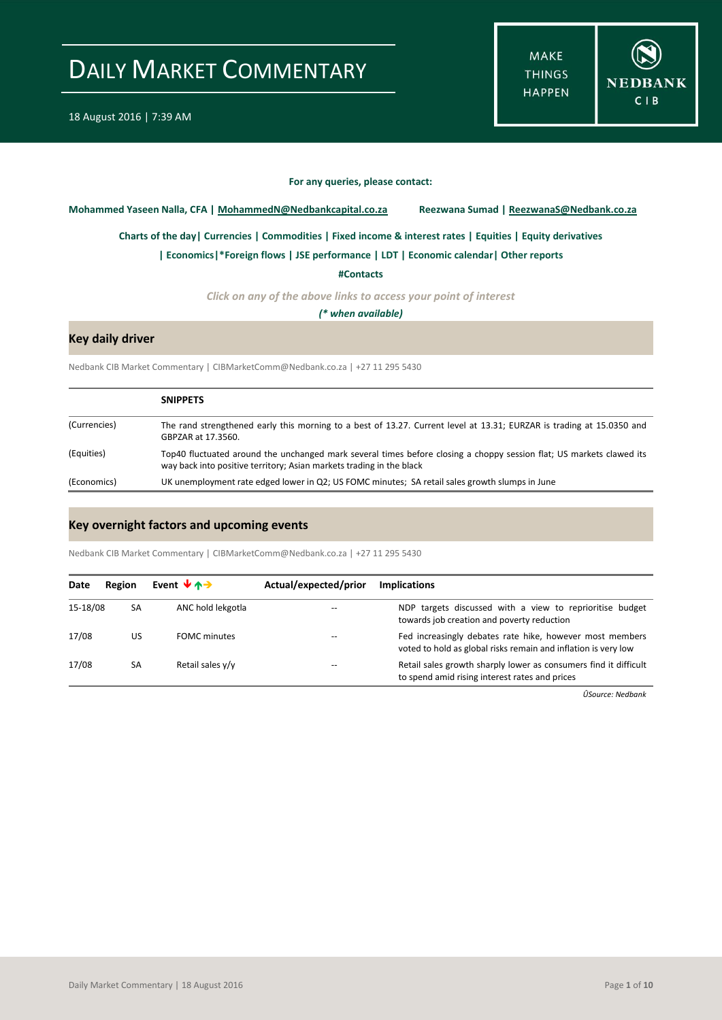**MAKE THINGS HAPPEN** 



#### **For any queries, please contact:**

<span id="page-0-0"></span>**Mohammed Yaseen Nalla, CFA | MohammedN@Nedbankcapital.co.za Reezwana Sumad | ReezwanaS@Nedbank.co.za**

**Charts of the day[| Currencies](#page-2-0) [| Commodities](#page-3-0) | [Fixed income & interest rates](#page-4-0) [| Equities](#page-5-0) | Equity derivatives**

**[| Economics|](#page-1-0)\*Foreign flows | [JSE performance](#page-6-0) [| LDT](#page-7-0) [| Economic calendar|](#page-7-1) Other reports** 

**[#Contacts](#page-8-0)**

*Click on any of the above links to access your point of interest*

*(\* when available)*

### **Key daily driver**

Nedbank CIB Market Commentary | CIBMarketComm@Nedbank.co.za | +27 11 295 5430

|              | <b>SNIPPETS</b>                                                                                                                                                                              |
|--------------|----------------------------------------------------------------------------------------------------------------------------------------------------------------------------------------------|
| (Currencies) | The rand strengthened early this morning to a best of 13.27. Current level at 13.31; EURZAR is trading at 15.0350 and<br>GBPZAR at 17.3560.                                                  |
| (Equities)   | Top40 fluctuated around the unchanged mark several times before closing a choppy session flat; US markets clawed its<br>way back into positive territory; Asian markets trading in the black |
| (Economics)  | UK unemployment rate edged lower in Q2; US FOMC minutes; SA retail sales growth slumps in June                                                                                               |

### **Key overnight factors and upcoming events**

Nedbank CIB Market Commentary | CIBMarketComm@Nedbank.co.za | +27 11 295 5430

| Date     | Region | Event $\forall$ $\land \rightarrow$ | Actual/expected/prior | <b>Implications</b>                                                                                                        |
|----------|--------|-------------------------------------|-----------------------|----------------------------------------------------------------------------------------------------------------------------|
| 15-18/08 | SA     | ANC hold lekgotla                   |                       | NDP targets discussed with a view to reprioritise budget<br>towards job creation and poverty reduction                     |
| 17/08    | US     | <b>FOMC</b> minutes                 |                       | Fed increasingly debates rate hike, however most members<br>voted to hold as global risks remain and inflation is very low |
| 17/08    | SA     | Retail sales y/y                    |                       | Retail sales growth sharply lower as consumers find it difficult<br>to spend amid rising interest rates and prices         |

*ÛSource: Nedbank*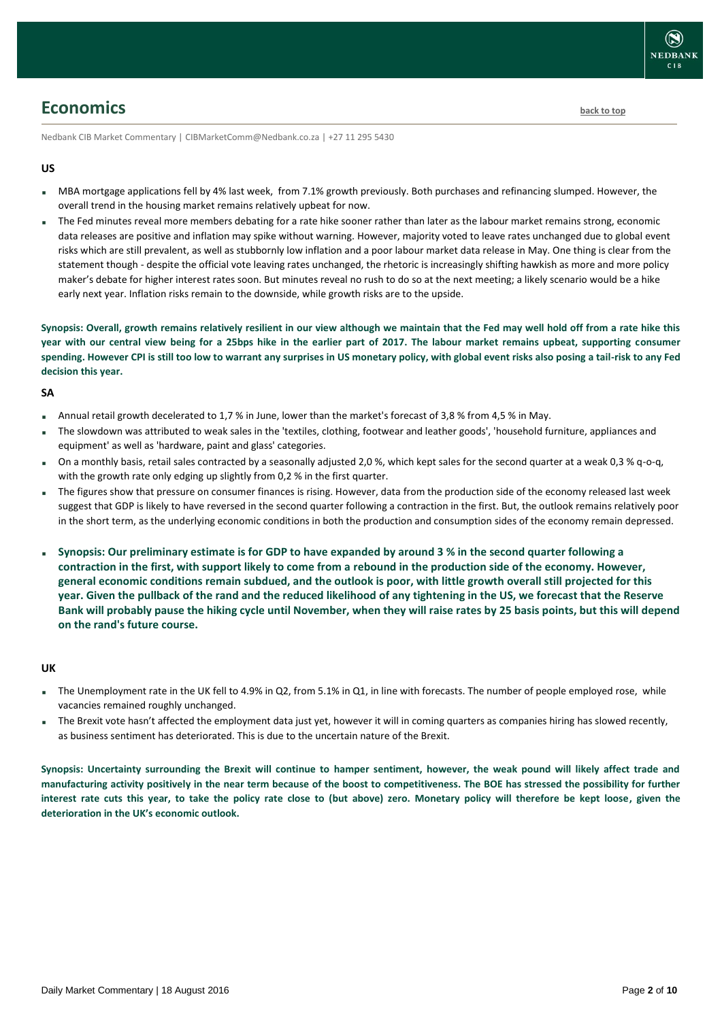## <span id="page-1-0"></span>**Economics [back to top](#page-0-0)**

Nedbank CIB Market Commentary | CIBMarketComm@Nedbank.co.za | +27 11 295 5430

### **US**

- MBA mortgage applications fell by 4% last week, from 7.1% growth previously. Both purchases and refinancing slumped. However, the overall trend in the housing market remains relatively upbeat for now.
- The Fed minutes reveal more members debating for a rate hike sooner rather than later as the labour market remains strong, economic data releases are positive and inflation may spike without warning. However, majority voted to leave rates unchanged due to global event risks which are still prevalent, as well as stubbornly low inflation and a poor labour market data release in May. One thing is clear from the statement though - despite the official vote leaving rates unchanged, the rhetoric is increasingly shifting hawkish as more and more policy maker's debate for higher interest rates soon. But minutes reveal no rush to do so at the next meeting; a likely scenario would be a hike early next year. Inflation risks remain to the downside, while growth risks are to the upside.

**Synopsis: Overall, growth remains relatively resilient in our view although we maintain that the Fed may well hold off from a rate hike this year with our central view being for a 25bps hike in the earlier part of 2017. The labour market remains upbeat, supporting consumer spending. However CPI is still too low to warrant any surprises in US monetary policy, with global event risks also posing a tail-risk to any Fed decision this year.**

### **SA**

- Annual retail growth decelerated to 1,7 % in June, lower than the market's forecast of 3,8 % from 4,5 % in May.
- The slowdown was attributed to weak sales in the 'textiles, clothing, footwear and leather goods', 'household furniture, appliances and equipment' as well as 'hardware, paint and glass' categories.
- On a monthly basis, retail sales contracted by a seasonally adjusted 2,0 %, which kept sales for the second quarter at a weak 0,3 % q-o-q, with the growth rate only edging up slightly from 0,2 % in the first quarter.
- The figures show that pressure on consumer finances is rising. However, data from the production side of the economy released last week suggest that GDP is likely to have reversed in the second quarter following a contraction in the first. But, the outlook remains relatively poor in the short term, as the underlying economic conditions in both the production and consumption sides of the economy remain depressed.
- **Synopsis: Our preliminary estimate is for GDP to have expanded by around 3 % in the second quarter following a contraction in the first, with support likely to come from a rebound in the production side of the economy. However, general economic conditions remain subdued, and the outlook is poor, with little growth overall still projected for this year. Given the pullback of the rand and the reduced likelihood of any tightening in the US, we forecast that the Reserve Bank will probably pause the hiking cycle until November, when they will raise rates by 25 basis points, but this will depend on the rand's future course.**

### **UK**

- The Unemployment rate in the UK fell to 4.9% in Q2, from 5.1% in Q1, in line with forecasts. The number of people employed rose, while vacancies remained roughly unchanged.
- The Brexit vote hasn't affected the employment data just yet, however it will in coming quarters as companies hiring has slowed recently, as business sentiment has deteriorated. This is due to the uncertain nature of the Brexit.

**Synopsis: Uncertainty surrounding the Brexit will continue to hamper sentiment, however, the weak pound will likely affect trade and manufacturing activity positively in the near term because of the boost to competitiveness. The BOE has stressed the possibility for further interest rate cuts this year, to take the policy rate close to (but above) zero. Monetary policy will therefore be kept loose, given the deterioration in the UK's economic outlook.**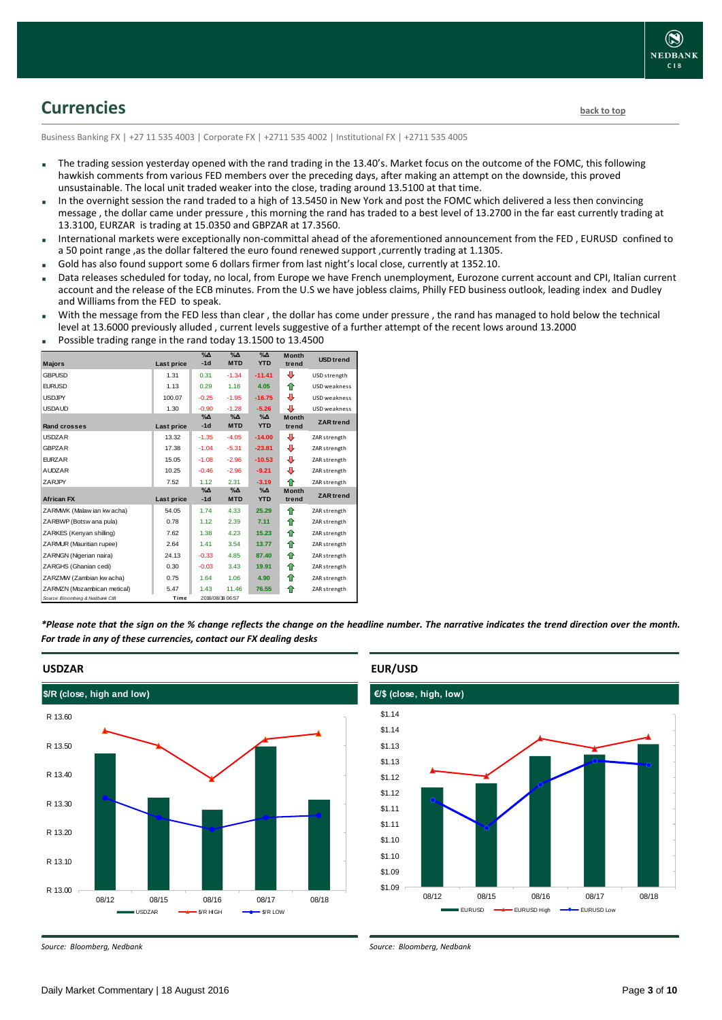

## <span id="page-2-0"></span>**Currencies [back to top](#page-0-0)**

Business Banking FX | +27 11 535 4003 | Corporate FX | +2711 535 4002 | Institutional FX | +2711 535 4005

- The trading session yesterday opened with the rand trading in the 13.40's. Market focus on the outcome of the FOMC, this following hawkish comments from various FED members over the preceding days, after making an attempt on the downside, this proved unsustainable. The local unit traded weaker into the close, trading around 13.5100 at that time.
- In the overnight session the rand traded to a high of 13.5450 in New York and post the FOMC which delivered a less then convincing message , the dollar came under pressure , this morning the rand has traded to a best level of 13.2700 in the far east currently trading at 13.3100, EURZAR is trading at 15.0350 and GBPZAR at 17.3560.
- International markets were exceptionally non-committal ahead of the aforementioned announcement from the FED , EURUSD confined to a 50 point range ,as the dollar faltered the euro found renewed support ,currently trading at 1.1305.
- Gold has also found support some 6 dollars firmer from last night's local close, currently at 1352.10.
- Data releases scheduled for today, no local, from Europe we have French unemployment, Eurozone current account and CPI, Italian current account and the release of the ECB minutes. From the U.S we have jobless claims, Philly FED business outlook, leading index and Dudley and Williams from the FED to speak.
- With the message from the FED less than clear , the dollar has come under pressure , the rand has managed to hold below the technical level at 13.6000 previously alluded , current levels suggestive of a further attempt of the recent lows around 13.2000

| <b>Majors</b>                   | Last price | $\%$ $\Delta$<br>$-1d$ | $\sqrt{\Delta}$<br><b>MTD</b> | $\overline{\%}\Delta$<br><b>YTD</b> | <b>Month</b><br>trend | <b>USD</b> trend |
|---------------------------------|------------|------------------------|-------------------------------|-------------------------------------|-----------------------|------------------|
| <b>GBPUSD</b>                   | 1.31       | 0.31                   | $-1.34$                       | $-11.41$                            | ⊕                     | USD strength     |
| <b>EURUSD</b>                   | 1.13       | 0.29                   | 1.18                          | 4.05                                | ⇑                     | USD weakness     |
| <b>USDJPY</b>                   | 100.07     | $-0.25$                | $-1.95$                       | $-16.75$                            | ⊕                     | USD weakness     |
| <b>USDAUD</b>                   | 1.30       | $-0.90$                | $-1.28$                       | $-5.26$                             | ⊕                     | USD weakness     |
| Rand crosses                    | Last price | $\%$ $\Delta$<br>$-1d$ | $\%$ $\Delta$<br><b>MTD</b>   | $\%$ $\Delta$<br><b>YTD</b>         | <b>Month</b><br>trend | <b>ZAR</b> trend |
| <b>USDZAR</b>                   | 13.32      | $-1.35$                | $-4.05$                       | $-14.00$                            | ⊕                     | ZAR strength     |
| <b>GBPZAR</b>                   | 17.38      | $-1.04$                | $-5.31$                       | $-23.81$                            | ⊕                     | ZAR strength     |
| <b>FURZAR</b>                   | 15.05      | $-1.08$                | $-2.96$                       | $-10.53$                            | ⊕                     | ZAR strength     |
| <b>AUDZAR</b>                   | 10.25      | $-0.46$                | $-2.96$                       | $-9.21$                             | ⊕                     | ZAR strength     |
| ZARJPY                          | 7.52       | 1.12                   | 2.31                          | $-3.19$                             | ♠                     | ZAR strength     |
| <b>African FX</b>               | Last price | $\%$ $\Delta$<br>$-1d$ | $\%$ $\Delta$<br><b>MTD</b>   | $\%$ $\Delta$<br><b>YTD</b>         | <b>Month</b><br>trend | <b>ZAR</b> trend |
| ZARMWK (Malaw ian kw acha)      | 54.05      | 1.74                   | 4.33                          | 25.29                               | ⇑                     | ZAR strength     |
| ZARBWP (Botsw ana pula)         | 0.78       | 1.12                   | 2.39                          | 7.11                                | ✿                     | ZAR strength     |
| ZARKES (Kenyan shilling)        | 7.62       | 1.38                   | 4.23                          | 15.23                               | ⇑                     | ZAR strength     |
| ZARMUR (Mauritian rupee)        | 2.64       | 1.41                   | 3.54                          | 13.77                               | ⇑                     | ZAR strength     |
| ZARNGN (Nigerian naira)         | 24.13      | $-0.33$                | 4.85                          | 87.40                               | ⇑                     | ZAR strength     |
| ZARGHS (Ghanian cedi)           | 0.30       | $-0.03$                | 3.43                          | 19.91                               | ⇑                     | ZAR strength     |
| ZARZMW (Zambian kw acha)        | 0.75       | 1.64                   | 1.06                          | 4.90                                | ⇑                     | ZAR strength     |
| ZARMZN (Mozambican metical)     | 5.47       | 1.43                   | 11.46                         | 76.55                               | ⇑                     | ZAR strength     |
| Source: Bloomberg & Nedbank CIB | Time       |                        | 2016/08/18 06:57              |                                     |                       |                  |

Possible trading range in the rand today 13.1500 to 13.4500

*\*Please note that the sign on the % change reflects the change on the headline number. The narrative indicates the trend direction over the month. For trade in any of these currencies, contact our FX dealing desks*



### **EUR/USD**



*Source: Bloomberg, Nedbank*

*Source: Bloomberg, Nedbank*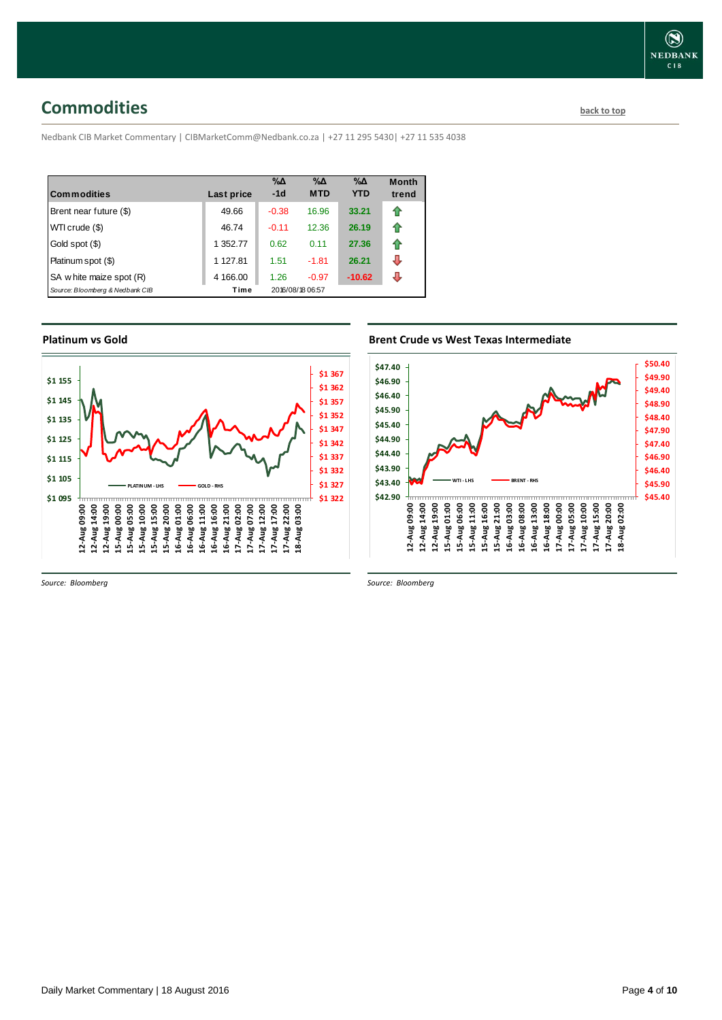## <span id="page-3-0"></span>**Commodities [back to top](#page-0-0)**

Nedbank CIB Market Commentary | CIBMarketComm@Nedbank.co.za | +27 11 295 5430| +27 11 535 4038

| <b>Commodities</b>              | Last price | $\% \Delta$<br>$-1d$ | $\% \Delta$<br><b>MTD</b> | $\% \Delta$<br><b>YTD</b> | <b>Month</b><br>trend |
|---------------------------------|------------|----------------------|---------------------------|---------------------------|-----------------------|
|                                 |            |                      |                           |                           |                       |
| Brent near future (\$)          | 49.66      | $-0.38$              | 16.96                     | 33.21                     |                       |
| WTI crude (\$)                  | 46.74      | $-0.11$              | 12.36                     | 26.19                     |                       |
| Gold spot (\$)                  | 1 352.77   | 0.62                 | 0.11                      | 27.36                     | fr                    |
| Platinum spot (\$)              | 1 127.81   | 1.51                 | $-1.81$                   | 26.21                     | J                     |
| SA w hite maize spot (R)        | 4 166.00   | 1.26                 | $-0.97$                   | $-10.62$                  | л                     |
| Source: Bloomberg & Nedbank CIB | Time       |                      | 2016/08/18 06:57          |                           |                       |

### **Platinum vs Gold**



*Source: Bloomberg*

### **Brent Crude vs West Texas Intermediate**



*Source: Bloomberg*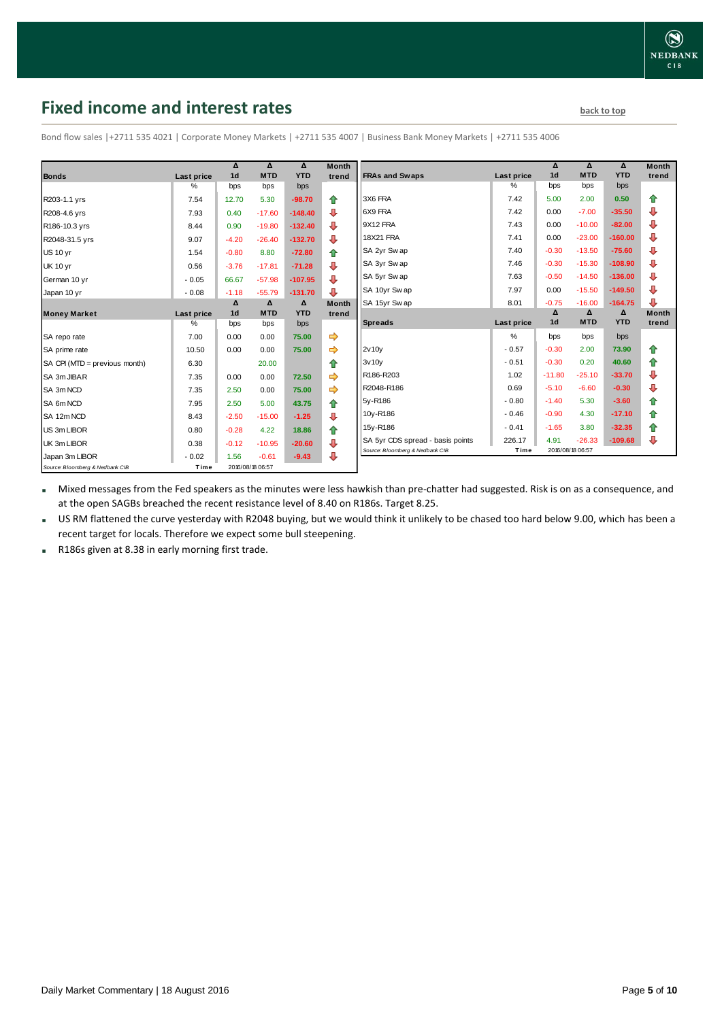## <span id="page-4-0"></span>**Fixed income and interest rates back to the line of the set of the set of the set of the set of the set of the set of the set of the set of the set of the set of the set of the set of the set of the set of the set of th**

|                                 |                   | Δ                | $\Delta$   | $\Delta$   | <b>Month</b>         |                                  |                   | Δ                | Δ          | Δ          | <b>Month</b> |
|---------------------------------|-------------------|------------------|------------|------------|----------------------|----------------------------------|-------------------|------------------|------------|------------|--------------|
| <b>Bonds</b>                    | <b>Last price</b> | 1 <sub>d</sub>   | <b>MTD</b> | <b>YTD</b> | trend                | <b>FRAs and Swaps</b>            | <b>Last price</b> | 1 <sub>d</sub>   | <b>MTD</b> | <b>YTD</b> | trend        |
|                                 | %                 | bps              | bps        | bps        |                      |                                  | %                 | bps              | bps        | bps        |              |
| R203-1.1 yrs                    | 7.54              | 12.70            | 5.30       | $-98.70$   | 合                    | 3X6 FRA                          | 7.42              | 5.00             | 2.00       | 0.50       | ⇑            |
| R208-4.6 yrs                    | 7.93              | 0.40             | $-17.60$   | $-148.40$  | ⊕                    | 6X9 FRA                          | 7.42              | 0.00             | $-7.00$    | $-35.50$   | ⊕            |
| R186-10.3 yrs                   | 8.44              | 0.90             | $-19.80$   | $-132.40$  | ⊕                    | 9X12 FRA                         | 7.43              | 0.00             | $-10.00$   | $-82.00$   | ⊕            |
| R2048-31.5 yrs                  | 9.07              | $-4.20$          | $-26.40$   | $-132.70$  | ⊕                    | 18X21 FRA                        | 7.41              | 0.00             | $-23.00$   | $-160.00$  | ⊕            |
| <b>US 10 yr</b>                 | 1.54              | $-0.80$          | 8.80       | $-72.80$   | 合                    | SA 2yr Sw ap                     | 7.40              | $-0.30$          | $-13.50$   | $-75.60$   | ⊕            |
| <b>UK 10 yr</b>                 | 0.56              | $-3.76$          | $-17.81$   | $-71.28$   | ⊕                    | SA 3yr Sw ap                     | 7.46              | $-0.30$          | $-15.30$   | $-108.90$  | ⊕            |
| German 10 yr                    | $-0.05$           | 66.67            | $-57.98$   | $-107.95$  | ⊕                    | SA 5yr Sw ap                     | 7.63              | $-0.50$          | $-14.50$   | $-136.00$  | ⊕            |
| Japan 10 yr                     | $-0.08$           | $-1.18$          | $-55.79$   | $-131.70$  | ⊕                    | SA 10yr Sw ap                    | 7.97              | 0.00             | $-15.50$   | $-149.50$  | ⊕            |
|                                 |                   | $\Delta$         | $\Delta$   | $\Delta$   | <b>Month</b>         | SA 15yr Swap                     | 8.01              | $-0.75$          | $-16.00$   | $-164.75$  | ⊕            |
| <b>Money Market</b>             | Last price        | 1 <sub>d</sub>   | <b>MTD</b> | <b>YTD</b> | trend                |                                  |                   | Δ                | Δ          | Δ          | <b>Month</b> |
|                                 | %                 | bps              | bps        | bps        |                      | <b>Spreads</b>                   | Last price        | 1 <sub>d</sub>   | <b>MTD</b> | <b>YTD</b> | trend        |
| SA repo rate                    | 7.00              | 0.00             | 0.00       | 75.00      |                      |                                  | %                 | bps              | bps        | bps        |              |
| SA prime rate                   | 10.50             | 0.00             | 0.00       | 75.00      | $\Rightarrow$        | 2v10v                            | $-0.57$           | $-0.30$          | 2.00       | 73.90      | ⇮            |
| SA CPI (MTD = previous month)   | 6.30              |                  | 20.00      |            | ⇑                    | 3v10v                            | $-0.51$           | $-0.30$          | 0.20       | 40.60      | ⇑            |
| SA 3m JIBAR                     | 7.35              | 0.00             | 0.00       | 72.50      | ⇛                    | R186-R203                        | 1.02              | $-11.80$         | $-25.10$   | $-33.70$   | ⊕            |
| SA 3m NCD                       | 7.35              | 2.50             | 0.00       | 75.00      |                      | R2048-R186                       | 0.69              | $-5.10$          | $-6.60$    | $-0.30$    | ⊕            |
| SA 6m NCD                       | 7.95              | 2.50             | 5.00       | 43.75      | 合                    | 5v-R186                          | $-0.80$           | $-1.40$          | 5.30       | $-3.60$    | ⇑            |
| SA 12m NCD                      | 8.43              | $-2.50$          | $-15.00$   | $-1.25$    | $\ddot{\phantom{1}}$ | 10y-R186                         | $-0.46$           | $-0.90$          | 4.30       | $-17.10$   | 合            |
| US 3m LIBOR                     | 0.80              | $-0.28$          | 4.22       | 18.86      | 合                    | 15y-R186                         | $-0.41$           | $-1.65$          | 3.80       | $-32.35$   | ⇮            |
| UK 3m LIBOR                     | 0.38              | $-0.12$          | $-10.95$   | $-20.60$   | ⊕                    | SA 5yr CDS spread - basis points | 226.17            | 4.91             | $-26.33$   | $-109.68$  | ⊕            |
| Japan 3m LIBOR                  | $-0.02$           | 1.56             | $-0.61$    | $-9.43$    | ⊕                    | Source: Bloomberg & Nedbank CIB  | Time              | 2016/08/18 06:57 |            |            |              |
| Source: Bloomberg & Nedbank CIB | Time              | 2016/08/18 06:57 |            |            |                      |                                  |                   |                  |            |            |              |

Bond flow sales |+2711 535 4021 | Corporate Money Markets | +2711 535 4007 | Business Bank Money Markets | +2711 535 4006

Mixed messages from the Fed speakers as the minutes were less hawkish than pre-chatter had suggested. Risk is on as a consequence, and at the open SAGBs breached the recent resistance level of 8.40 on R186s. Target 8.25.

 US RM flattened the curve yesterday with R2048 buying, but we would think it unlikely to be chased too hard below 9.00, which has been a recent target for locals. Therefore we expect some bull steepening.

R186s given at 8.38 in early morning first trade.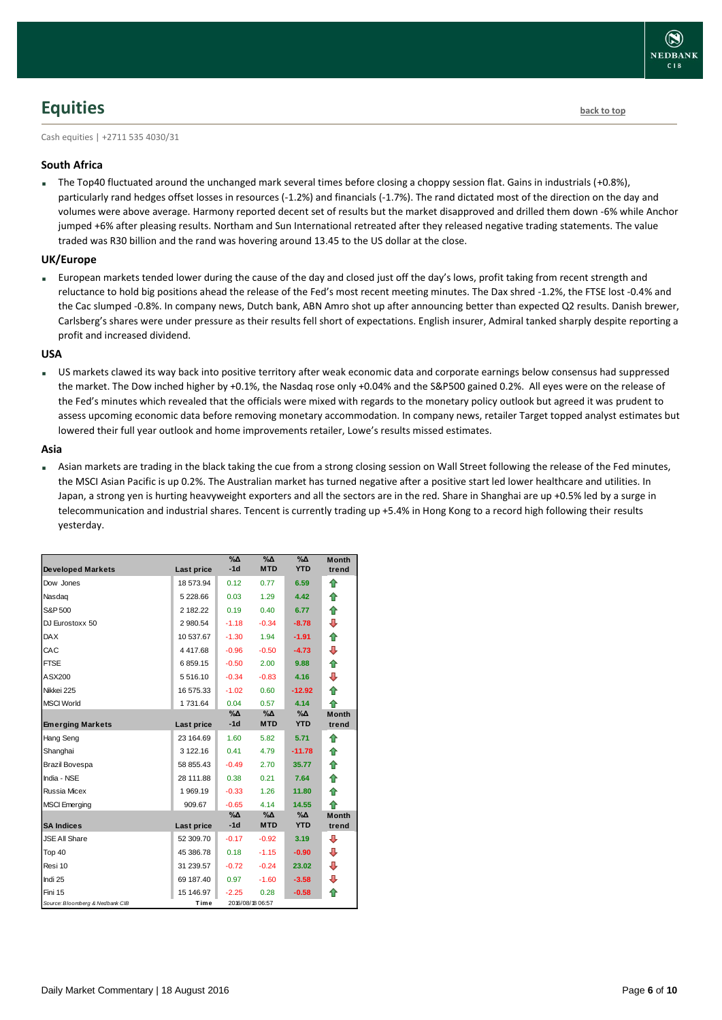## <span id="page-5-0"></span>**Equities [back to top](#page-0-0)**

Cash equities | +2711 535 4030/31

### **South Africa**

The Top40 fluctuated around the unchanged mark several times before closing a choppy session flat. Gains in industrials (+0.8%), particularly rand hedges offset losses in resources (-1.2%) and financials (-1.7%). The rand dictated most of the direction on the day and volumes were above average. Harmony reported decent set of results but the market disapproved and drilled them down -6% while Anchor jumped +6% after pleasing results. Northam and Sun International retreated after they released negative trading statements. The value traded was R30 billion and the rand was hovering around 13.45 to the US dollar at the close.

### **UK/Europe**

 European markets tended lower during the cause of the day and closed just off the day's lows, profit taking from recent strength and reluctance to hold big positions ahead the release of the Fed's most recent meeting minutes. The Dax shred -1.2%, the FTSE lost -0.4% and the Cac slumped -0.8%. In company news, Dutch bank, ABN Amro shot up after announcing better than expected Q2 results. Danish brewer, Carlsberg's shares were under pressure as their results fell short of expectations. English insurer, Admiral tanked sharply despite reporting a profit and increased dividend.

### **USA**

 US markets clawed its way back into positive territory after weak economic data and corporate earnings below consensus had suppressed the market. The Dow inched higher by +0.1%, the Nasdaq rose only +0.04% and the S&P500 gained 0.2%. All eyes were on the release of the Fed's minutes which revealed that the officials were mixed with regards to the monetary policy outlook but agreed it was prudent to assess upcoming economic data before removing monetary accommodation. In company news, retailer Target topped analyst estimates but lowered their full year outlook and home improvements retailer, Lowe's results missed estimates.

### **Asia**

 Asian markets are trading in the black taking the cue from a strong closing session on Wall Street following the release of the Fed minutes, the MSCI Asian Pacific is up 0.2%. The Australian market has turned negative after a positive start led lower healthcare and utilities. In Japan, a strong yen is hurting heavyweight exporters and all the sectors are in the red. Share in Shanghai are up +0.5% led by a surge in telecommunication and industrial shares. Tencent is currently trading up +5.4% in Hong Kong to a record high following their results yesterday.

|                                 |               | $\%$ $\Delta$ | $\%$ $\Delta$    | %Δ         | <b>Month</b> |
|---------------------------------|---------------|---------------|------------------|------------|--------------|
| <b>Developed Markets</b>        | Last price    | $-1d$         | <b>MTD</b>       | <b>YTD</b> | trend        |
| Dow Jones                       | 18 573.94     | 0.12          | 0.77             | 6.59       | ⇑            |
| Nasdag                          | 5 228.66      | 0.03          | 1.29             | 4.42       | ⇑            |
| S&P 500                         | 2 182.22      | 0.19          | 0.40             | 6.77       | ⇮            |
| DJ Eurostoxx 50                 | 2 980.54      | $-1.18$       | $-0.34$          | $-8.78$    | ⊕            |
| <b>DAX</b>                      | 10 537.67     | $-1.30$       | 1.94             | $-1.91$    | ⇑            |
| CAC                             | 4417.68       | $-0.96$       | $-0.50$          | $-4.73$    | ⊕            |
| <b>FTSE</b>                     | 6859.15       | $-0.50$       | 2.00             | 9.88       | ⇑            |
| ASX200                          | 5 5 1 6 . 1 0 | $-0.34$       | $-0.83$          | 4.16       | ⊕            |
| Nikkei 225                      | 16 575.33     | $-1.02$       | 0.60             | $-12.92$   | ⇑            |
| <b>MSCI World</b>               | 1731.64       | 0.04          | 0.57             | 4.14       | ⇑            |
|                                 |               | %Д            | %Δ               | %Δ         | <b>Month</b> |
| <b>Emerging Markets</b>         | Last price    | $-1d$         | <b>MTD</b>       | <b>YTD</b> | trend        |
| Hang Seng                       | 23 164.69     | 1.60          | 5.82             | 5.71       | ⇑            |
| Shanghai                        | 3 122.16      | 0.41          | 4.79             | $-11.78$   | ⇑            |
| <b>Brazil Bovespa</b>           | 58 855.43     | $-0.49$       | 2.70             | 35.77      | ⇮            |
| India - NSE                     | 28 111.88     | 0.38          | 0.21             | 7.64       | ⇑            |
| Russia Micex                    | 1969.19       | $-0.33$       | 1.26             | 11.80      | 合            |
| <b>MSCI Emerging</b>            | 909.67        | $-0.65$       | 4.14             | 14.55      | ♠            |
|                                 |               | %Δ            | %Δ               | %Δ         | <b>Month</b> |
| <b>SA Indices</b>               | Last price    | $-1d$         | <b>MTD</b>       | <b>YTD</b> | trend        |
| <b>JSE All Share</b>            | 52 309.70     | $-0.17$       | $-0.92$          | 3.19       | ⊕            |
| Top 40                          | 45 386.78     | 0.18          | $-1.15$          | $-0.90$    | ⊕            |
| Resi 10                         | 31 239.57     | $-0.72$       | $-0.24$          | 23.02      | ⊕            |
| Indi 25                         | 69 187.40     | 0.97          | $-1.60$          | $-3.58$    | ⊕            |
| Fini 15                         | 15 146.97     | $-2.25$       | 0.28             | $-0.58$    | ♠            |
| Source: Bloomberg & Nedbank CIB | Time          |               | 2016/08/18 06:57 |            |              |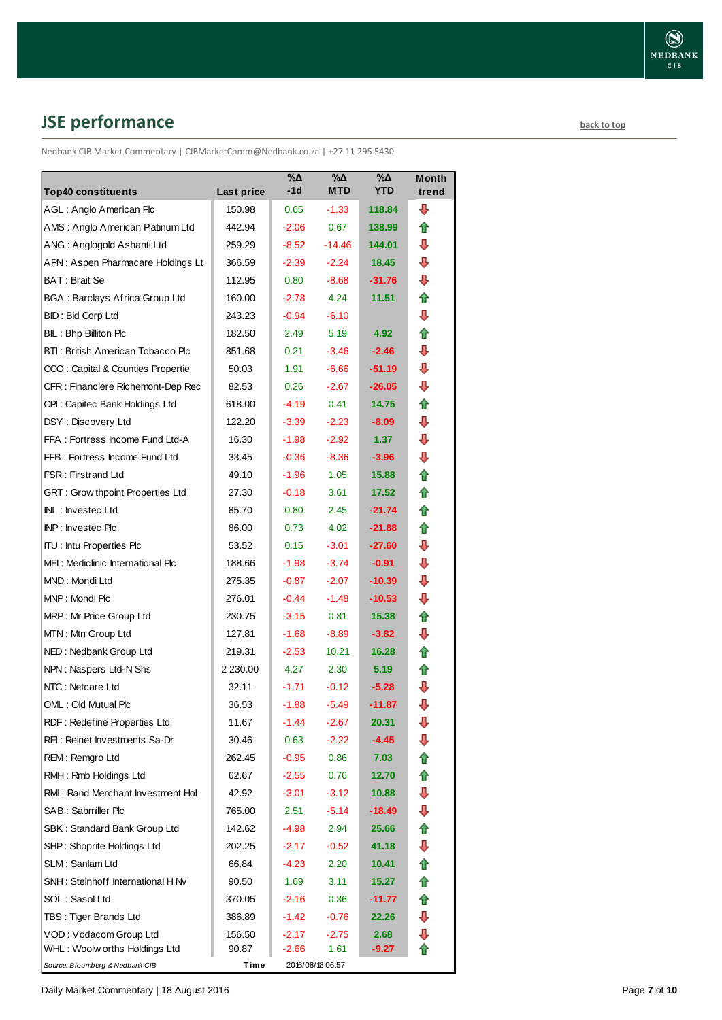## <span id="page-6-0"></span>**JSE performance [back to top](#page-0-0) back to top**

Nedbank CIB Market Commentary | CIBMarketComm@Nedbank.co.za | +27 11 295 5430

| <b>Top40 constituents</b>             | Last price | $\sqrt{20}$<br>$-1d$ | $\sqrt{20}$<br><b>MTD</b> | $\sqrt{20}$<br><b>YTD</b> | <b>Month</b><br>trend |
|---------------------------------------|------------|----------------------|---------------------------|---------------------------|-----------------------|
| AGL: Anglo American Plc               | 150.98     | 0.65                 | $-1.33$                   | 118.84                    | ⊕                     |
| AMS: Anglo American Platinum Ltd      | 442.94     | $-2.06$              | 0.67                      | 138.99                    | ⇑                     |
| ANG: Anglogold Ashanti Ltd            | 259.29     | $-8.52$              | $-14.46$                  | 144.01                    | ⊕                     |
| APN: Aspen Pharmacare Holdings Lt     | 366.59     | $-2.39$              | $-2.24$                   | 18.45                     | ⇩                     |
| <b>BAT: Brait Se</b>                  | 112.95     | 0.80                 | $-8.68$                   | $-31.76$                  | ⇩                     |
| <b>BGA: Barclays Africa Group Ltd</b> | 160.00     | $-2.78$              | 4.24                      | 11.51                     | 合                     |
| <b>BID: Bid Corp Ltd</b>              | 243.23     | $-0.94$              | $-6.10$                   |                           | ⇩                     |
| BIL: Bhp Billiton Plc                 | 182.50     | 2.49                 | 5.19                      | 4.92                      | ⇑                     |
| BTI: British American Tobacco Plc     | 851.68     | 0.21                 | $-3.46$                   | $-2.46$                   | ⇩                     |
| CCO: Capital & Counties Propertie     | 50.03      | 1.91                 | $-6.66$                   | -51.19                    | ⊕                     |
| CFR : Financiere Richemont-Dep Rec    | 82.53      | 0.26                 | $-2.67$                   | $-26.05$                  | ⇩                     |
| CPI: Capitec Bank Holdings Ltd        | 618.00     | $-4.19$              | 0.41                      | 14.75                     | ⇑                     |
| DSY: Discovery Ltd                    | 122.20     | $-3.39$              | $-2.23$                   | $-8.09$                   | ⇩                     |
| FFA: Fortress Income Fund Ltd-A       | 16.30      | $-1.98$              | $-2.92$                   | 1.37 <sub>z</sub>         | ⇩                     |
| FFB: Fortress Income Fund Ltd         | 33.45      | $-0.36$              | $-8.36$                   | $-3.96$                   | ⇩                     |
| <b>FSR: Firstrand Ltd</b>             | 49.10      | $-1.96$              | 1.05                      | 15.88                     | 合                     |
| GRT : Grow thpoint Properties Ltd     | 27.30      | $-0.18$              | 3.61                      | 17.52                     | ✿                     |
| INL: Investec Ltd                     | 85.70      | 0.80                 | 2.45                      | $-21.74$                  | ✿                     |
| INP: Investec Plc                     | 86.00      | 0.73                 | 4.02                      | $-21.88$                  | 合                     |
| <b>ITU: Intu Properties Plc</b>       | 53.52      | 0.15                 | $-3.01$                   | $-27.60$                  | ⇩                     |
| MEI: Mediclinic International Plc     | 188.66     | $-1.98$              | -3.74                     | $-0.91$                   | ⇩                     |
| MND: Mondi Ltd                        | 275.35     | $-0.87$              | $-2.07$                   | $-10.39$                  | ⇩                     |
| MNP: Mondi Plc                        | 276.01     | $-0.44$              | $-1.48$                   | $-10.53$                  | ₽                     |
| MRP: Mr Price Group Ltd               | 230.75     | $-3.15$              | 0.81                      | 15.38                     | ✿                     |
| MTN: Mtn Group Ltd                    | 127.81     | $-1.68$              | $-8.89$                   | $-3.82$                   | ₽                     |
| NED: Nedbank Group Ltd                | 219.31     | $-2.53$              | 10.21                     | 16.28                     | ⇑                     |
| NPN: Naspers Ltd-N Shs                | 2 230.00   | 4.27                 | 2.30                      | 5.19                      | ✿                     |
| NTC: Netcare Ltd                      | 32.11      | $-1.71$              | $-0.12$                   | $-5.28$                   | ⇩                     |
| OML: Old Mutual Plc                   | 36.53      | $-1.88$              | $-5.49$                   | $-11.87$                  | ⇩                     |
| RDF: Redefine Properties Ltd          | 11.67      | $-1.44$              | $-2.67$                   | 20.31                     | ⇩                     |
| REI: Reinet Investments Sa-Dr         | 30.46      | 0.63                 | $-2.22$                   | -4.45                     | ⇩                     |
| REM: Remgro Ltd                       | 262.45     | $-0.95$              | 0.86                      | 7.03                      | ⇮                     |
| RMH: Rmb Holdings Ltd                 | 62.67      | $-2.55$              | 0.76                      | 12.70                     | ✿                     |
| RMI: Rand Merchant Investment Hol     | 42.92      | $-3.01$              | $-3.12$                   | 10.88                     | ⇩                     |
| SAB: Sabmiller Plc                    | 765.00     | 2.51                 | $-5.14$                   | -18.49                    | ⊕                     |
| SBK: Standard Bank Group Ltd          | 142.62     | -4.98                | 2.94                      | 25.66                     | ⇑                     |
| SHP: Shoprite Holdings Ltd            | 202.25     | $-2.17$              | $-0.52$                   | 41.18                     | ⇩                     |
| SLM: Sanlam Ltd                       | 66.84      | $-4.23$              | 2.20                      | 10.41                     | ⇑                     |
| SNH: Steinhoff International H Nv     | 90.50      | 1.69                 | 3.11                      | 15.27                     | 合                     |
| SOL: Sasol Ltd                        | 370.05     | $-2.16$              | 0.36                      | -11.77                    | ✿                     |
| TBS: Tiger Brands Ltd                 | 386.89     | $-1.42$              | $-0.76$                   | 22.26                     | ⇩                     |
| VOD: Vodacom Group Ltd                | 156.50     | $-2.17$              | $-2.75$                   | 2.68                      | ⊕                     |
| WHL : Woolw orths Holdings Ltd        | 90.87      | $-2.66$              | 1.61                      | -9.27                     |                       |
| Source: Bloomberg & Nedbank CIB       | Time       |                      | 2016/08/18 06:57          |                           |                       |

Daily Market Commentary | 18 August 2016 **Page 7** of 10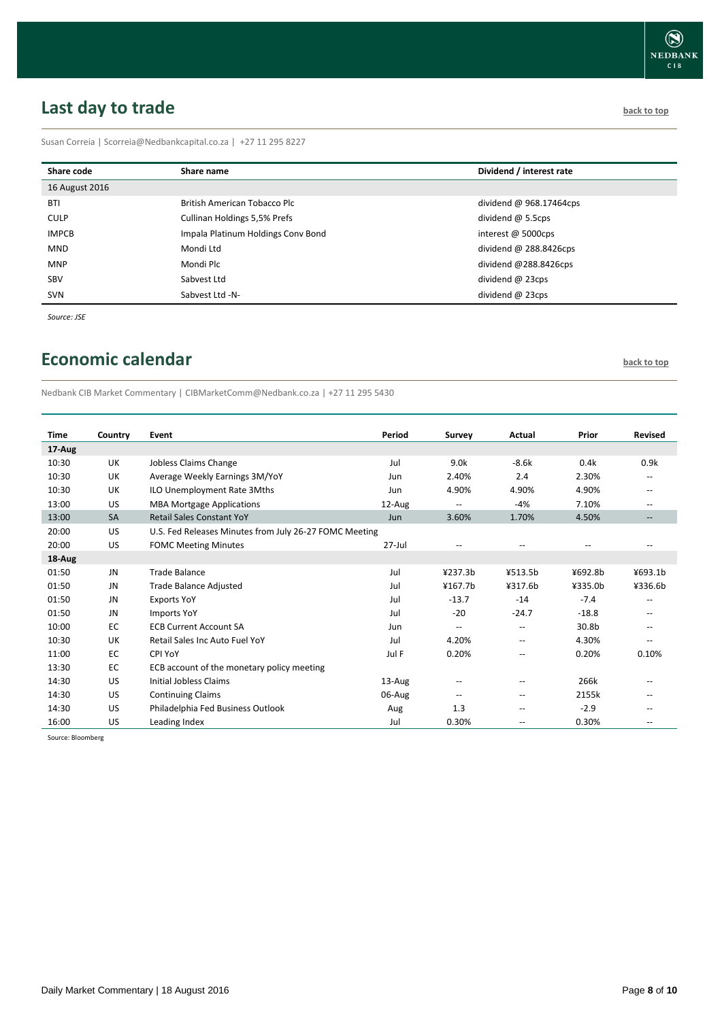# <span id="page-7-0"></span>**Last day to trade back to the contract of the contract of the contract of the contract of the contract of the contract of the contract of the contract of the contract of the contract of the contract of the contract of t**

Susan Correia | [Scorreia@Nedbankcapital.co.za](mailto:Scorreia@Nedbankcapital.co.za) | +27 11 295 8227

| Share code     | Share name                         | Dividend / interest rate |
|----------------|------------------------------------|--------------------------|
| 16 August 2016 |                                    |                          |
| <b>BTI</b>     | British American Tobacco Plc       | dividend @ 968.17464cps  |
| <b>CULP</b>    | Cullinan Holdings 5,5% Prefs       | dividend $@$ 5.5cps      |
| <b>IMPCB</b>   | Impala Platinum Holdings Conv Bond | interest @ 5000cps       |
| MND            | Mondi Ltd                          | dividend $@$ 288.8426cps |
| <b>MNP</b>     | Mondi Plc                          | dividend @288.8426cps    |
| SBV            | Sabvest Ltd                        | dividend $@$ 23cps       |
| <b>SVN</b>     | Sabvest Ltd -N-                    | dividend $@$ 23cps       |

*Source: JSE*

## <span id="page-7-1"></span>**Economic calendar [back to top](#page-0-0) back to top**

Nedbank CIB Market Commentary | CIBMarketComm@Nedbank.co.za | +27 11 295 5430

| <b>Time</b> | Country   | Event                                                  | Period     | Survey                   | Actual            | Prior   | <b>Revised</b>                                      |
|-------------|-----------|--------------------------------------------------------|------------|--------------------------|-------------------|---------|-----------------------------------------------------|
| 17-Aug      |           |                                                        |            |                          |                   |         |                                                     |
| 10:30       | UK        | Jobless Claims Change                                  | Jul        | 9.0k                     | $-8.6k$           | 0.4k    | 0.9k                                                |
| 10:30       | UK        | Average Weekly Earnings 3M/YoY                         | Jun        | 2.40%                    | 2.4               | 2.30%   | $\overline{a}$                                      |
| 10:30       | UK        | ILO Unemployment Rate 3Mths                            | Jun        | 4.90%                    | 4.90%             | 4.90%   | $\hspace{0.05cm} -$                                 |
| 13:00       | US        | <b>MBA Mortgage Applications</b>                       | 12-Aug     | --                       | $-4%$             | 7.10%   | $\hspace{0.05cm} -$                                 |
| 13:00       | <b>SA</b> | <b>Retail Sales Constant YoY</b>                       | Jun        | 3.60%                    | 1.70%             | 4.50%   | $\hspace{0.05cm} -\hspace{0.05cm} -\hspace{0.05cm}$ |
| 20:00       | US        | U.S. Fed Releases Minutes from July 26-27 FOMC Meeting |            |                          |                   |         |                                                     |
| 20:00       | US        | <b>FOMC Meeting Minutes</b>                            | $27 -$ Jul | --                       | $-$               | $-$     | $\qquad \qquad -$                                   |
| 18-Aug      |           |                                                        |            |                          |                   |         |                                                     |
| 01:50       | <b>JN</b> | <b>Trade Balance</b>                                   | Jul        | 4237.3 <sub>b</sub>      | ¥513.5b           | ¥692.8b | ¥693.1b                                             |
| 01:50       | JN        | Trade Balance Adjusted                                 | Jul        | ¥167.7 <sub>b</sub>      | ¥317.6b           | ¥335.0b | ¥336.6b                                             |
| 01:50       | JN        | <b>Exports YoY</b>                                     | Jul        | $-13.7$                  | $-14$             | $-7.4$  | $\overline{\phantom{a}}$                            |
| 01:50       | JN        | <b>Imports YoY</b>                                     | Jul        | $-20$                    | $-24.7$           | $-18.8$ | $\hspace{0.05cm} -$                                 |
| 10:00       | EC        | <b>ECB Current Account SA</b>                          | Jun        | $\overline{\phantom{a}}$ | $\overline{a}$    | 30.8b   | $-$                                                 |
| 10:30       | UK        | Retail Sales Inc Auto Fuel YoY                         | Jul        | 4.20%                    | $-$               | 4.30%   | $\hspace{0.05cm} -$                                 |
| 11:00       | EC        | CPI YoY                                                | Jul F      | 0.20%                    | --                | 0.20%   | 0.10%                                               |
| 13:30       | EC        | ECB account of the monetary policy meeting             |            |                          |                   |         |                                                     |
| 14:30       | US        | <b>Initial Jobless Claims</b>                          | 13-Aug     | $\qquad \qquad -$        | $-$               | 266k    | $\overline{\phantom{a}}$                            |
| 14:30       | US        | <b>Continuing Claims</b>                               | 06-Aug     | $\qquad \qquad -$        | $-$               | 2155k   | $\qquad \qquad -$                                   |
| 14:30       | US        | Philadelphia Fed Business Outlook                      | Aug        | 1.3                      | $\qquad \qquad -$ | $-2.9$  | --                                                  |
| 16:00       | US        | Leading Index                                          | Jul        | 0.30%                    | $-$               | 0.30%   | $\overline{\phantom{a}}$                            |

Source: Bloomberg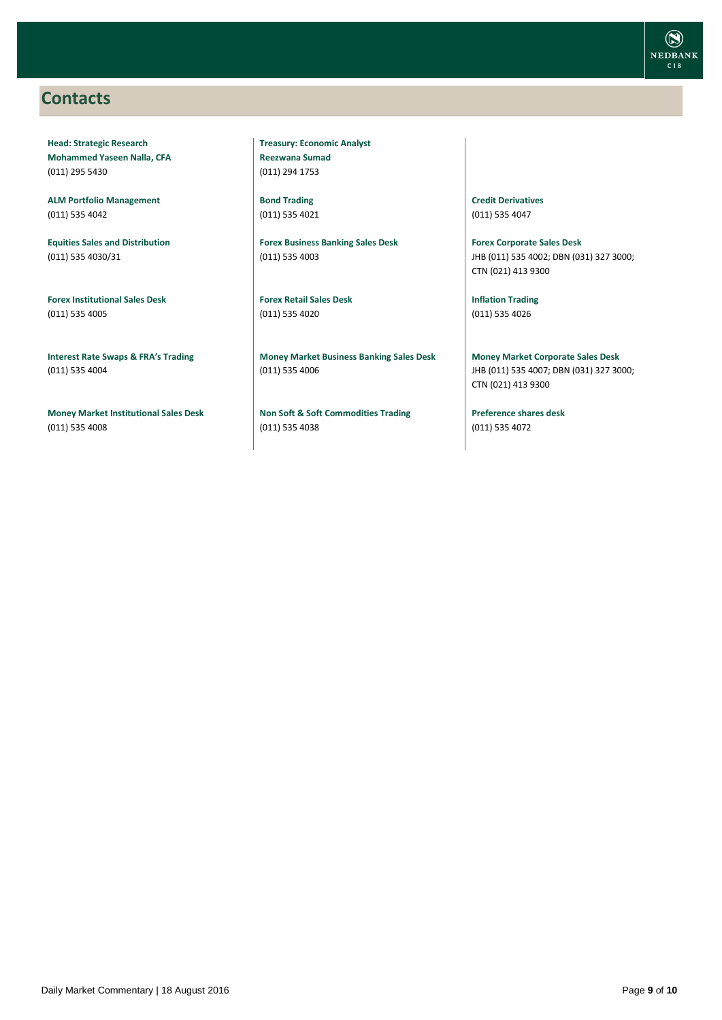### <span id="page-8-0"></span>**Contacts**

**Head: Strategic Research Mohammed Yaseen Nalla, CFA** (011) 295 5430

**ALM Portfolio Management** (011) 535 4042

**Equities Sales and Distribution** (011) 535 4030/31

**Forex Institutional Sales Desk** (011) 535 4005

**Interest Rate Swaps & FRA's Trading** (011) 535 4004

**Money Market Institutional Sales Desk** (011) 535 4008

**Treasury: Economic Analyst Reezwana Sumad** (011) 294 1753

**Bond Trading** (011) 535 4021

**Forex Business Banking Sales Desk** (011) 535 4003

**Forex Retail Sales Desk** (011) 535 4020

**Money Market Business Banking Sales Desk** (011) 535 4006

**Non Soft & Soft Commodities Trading** (011) 535 4038

**Credit Derivatives**  (011) 535 4047

**Forex Corporate Sales Desk** JHB (011) 535 4002; DBN (031) 327 3000; CTN (021) 413 9300

**Inflation Trading** (011) 535 4026

**Money Market Corporate Sales Desk** JHB (011) 535 4007; DBN (031) 327 3000; CTN (021) 413 9300

**Preference shares desk** (011) 535 4072